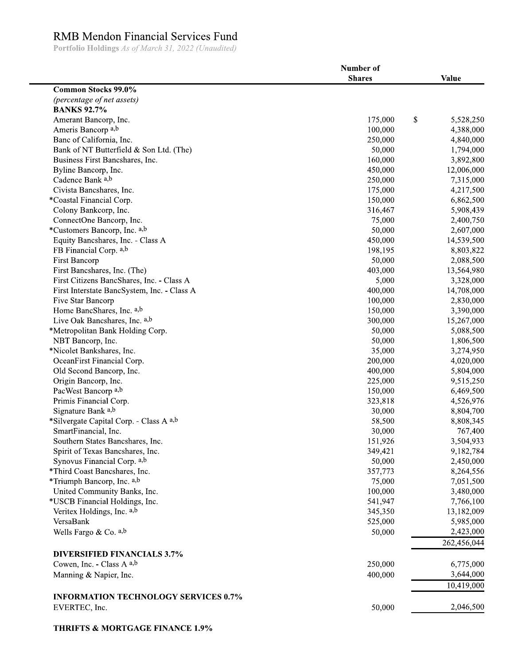## RMB Mendon Financial Services Fund

Portfolio Holdings As of March 31, 2022 (Unaudited)

|                                             | Number of     |              |
|---------------------------------------------|---------------|--------------|
|                                             | <b>Shares</b> | <b>Value</b> |
| <b>Common Stocks 99.0%</b>                  |               |              |
| (percentage of net assets)                  |               |              |
| <b>BANKS 92.7%</b>                          |               |              |
| Amerant Bancorp, Inc.                       | \$<br>175,000 | 5,528,250    |
| Ameris Bancorp <sup>a,b</sup>               | 100,000       | 4,388,000    |
| Banc of California, Inc.                    | 250,000       | 4,840,000    |
| Bank of NT Butterfield & Son Ltd. (The)     | 50,000        | 1,794,000    |
| Business First Bancshares, Inc.             | 160,000       | 3,892,800    |
| Byline Bancorp, Inc.                        | 450,000       | 12,006,000   |
| Cadence Bank a,b                            | 250,000       | 7,315,000    |
| Civista Bancshares, Inc.                    | 175,000       | 4,217,500    |
| *Coastal Financial Corp.                    | 150,000       | 6,862,500    |
| Colony Bankcorp, Inc.                       | 316,467       | 5,908,439    |
| ConnectOne Bancorp, Inc.                    | 75,000        | 2,400,750    |
| *Customers Bancorp, Inc. a,b                | 50,000        | 2,607,000    |
| Equity Bancshares, Inc. - Class A           | 450,000       | 14,539,500   |
| FB Financial Corp. a,b                      | 198,195       | 8,803,822    |
| <b>First Bancorp</b>                        | 50,000        | 2,088,500    |
| First Bancshares, Inc. (The)                | 403,000       | 13,564,980   |
| First Citizens BancShares, Inc. - Class A   | 5,000         | 3,328,000    |
| First Interstate BancSystem, Inc. - Class A | 400,000       | 14,708,000   |
|                                             | 100,000       |              |
| Five Star Bancorp                           |               | 2,830,000    |
| Home BancShares, Inc. a,b                   | 150,000       | 3,390,000    |
| Live Oak Bancshares, Inc. a,b               | 300,000       | 15,267,000   |
| *Metropolitan Bank Holding Corp.            | 50,000        | 5,088,500    |
| NBT Bancorp, Inc.                           | 50,000        | 1,806,500    |
| *Nicolet Bankshares, Inc.                   | 35,000        | 3,274,950    |
| OceanFirst Financial Corp.                  | 200,000       | 4,020,000    |
| Old Second Bancorp, Inc.                    | 400,000       | 5,804,000    |
| Origin Bancorp, Inc.                        | 225,000       | 9,515,250    |
| PacWest Bancorp a,b                         | 150,000       | 6,469,500    |
| Primis Financial Corp.                      | 323,818       | 4,526,976    |
| Signature Bank a,b                          | 30,000        | 8,804,700    |
| *Silvergate Capital Corp. - Class A a,b     | 58,500        | 8,808,345    |
| SmartFinancial, Inc.                        | 30,000        | 767,400      |
| Southern States Bancshares, Inc.            | 151,926       | 3,504,933    |
| Spirit of Texas Bancshares, Inc.            | 349,421       | 9,182,784    |
| Synovus Financial Corp. a,b                 | 50,000        | 2,450,000    |
| *Third Coast Bancshares, Inc.               | 357,773       | 8,264,556    |
| *Triumph Bancorp, Inc. a,b                  | 75,000        | 7,051,500    |
| United Community Banks, Inc.                | 100,000       | 3,480,000    |
| *USCB Financial Holdings, Inc.              | 541,947       | 7,766,100    |
| Veritex Holdings, Inc. a,b                  | 345,350       | 13,182,009   |
| VersaBank                                   | 525,000       | 5,985,000    |
| Wells Fargo & Co. $a,b$                     | 50,000        | 2,423,000    |
|                                             |               | 262,456,044  |
| <b>DIVERSIFIED FINANCIALS 3.7%</b>          |               |              |
| Cowen, Inc. - Class A a,b                   | 250,000       | 6,775,000    |
| Manning & Napier, Inc.                      | 400,000       | 3,644,000    |
|                                             |               | 10,419,000   |
|                                             |               |              |
| <b>INFORMATION TECHNOLOGY SERVICES 0.7%</b> |               |              |
| EVERTEC, Inc.                               | 50,000        | 2,046,500    |
|                                             |               |              |

**THRIFTS & MORTGAGE FINANCE 1.9%**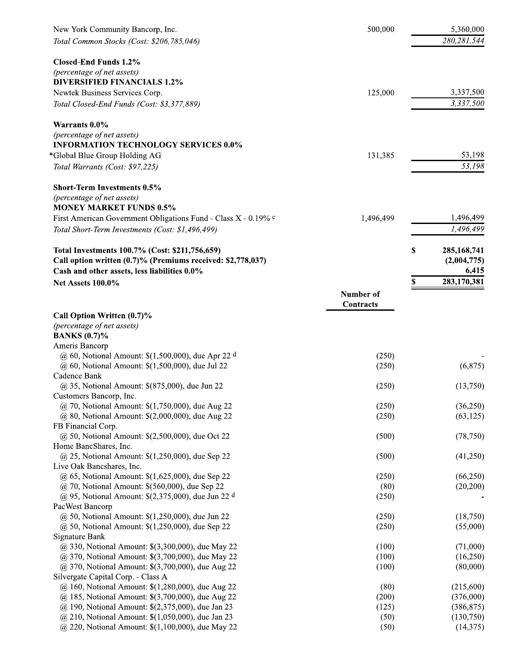| New York Community Bancorp, Inc.                                                        | 500,000                | 5,360,000   |
|-----------------------------------------------------------------------------------------|------------------------|-------------|
| Total Common Stocks (Cost: \$206,785,046)                                               |                        | 280,281,544 |
| <b>Closed-End Funds 1.2%</b>                                                            |                        |             |
| (percentage of net assets)                                                              |                        |             |
| <b>DIVERSIFIED FINANCIALS 1.2%</b>                                                      |                        |             |
| Newtek Business Services Corp.                                                          | 125,000                | 3,337,500   |
| Total Closed-End Funds (Cost: \$3,377,889)                                              |                        | 3,337,500   |
| Warrants 0.0%                                                                           |                        |             |
| (percentage of net assets)<br><b>INFORMATION TECHNOLOGY SERVICES 0.0%</b>               |                        |             |
| *Global Blue Group Holding AG                                                           | 131,385                | 53,198      |
| Total Warrants (Cost: \$97,225)                                                         |                        | 53,198      |
| <b>Short-Term Investments 0.5%</b>                                                      |                        |             |
| (percentage of net assets)                                                              |                        |             |
| <b>MONEY MARKET FUNDS 0.5%</b>                                                          |                        |             |
| First American Government Obligations Fund - Class X - 0.19% c                          | 1,496,499              | 1,496,499   |
| Total Short-Term Investments (Cost: \$1,496,499)                                        |                        | 1,496,499   |
| Total Investments 100.7% (Cost: \$211,756,659)                                          | \$                     | 285,168,741 |
| Call option written (0.7)% (Premiums received: \$2,778,037)                             |                        | (2,004,775) |
| Cash and other assets, less liabilities 0.0%                                            |                        | 6,415       |
| <b>Net Assets 100.0%</b>                                                                | \$                     | 283,170,381 |
|                                                                                         | Number of<br>Contracts |             |
| Call Option Written (0.7)%                                                              |                        |             |
| (percentage of net assets)                                                              |                        |             |
| <b>BANKS</b> (0.7)%                                                                     |                        |             |
| Ameris Bancorp                                                                          |                        |             |
| @ 60, Notional Amount: $\$(1,500,000)$ , due Apr 22 d                                   | (250)                  |             |
| $\omega$ 60, Notional Amount: \$(1,500,000), due Jul 22<br>Cadence Bank                 | (250)                  | (6,875)     |
| @ 35, Notional Amount: \$(875,000), due Jun 22                                          | (250)                  | (13,750)    |
| Customers Bancorp, Inc.                                                                 |                        |             |
| @ 70, Notional Amount: \$(1,750,000), due Aug 22                                        | (250)                  | (36,250)    |
| @ 80, Notional Amount: \$(2,000,000), due Aug 22                                        | (250)                  | (63, 125)   |
| FB Financial Corp.                                                                      |                        |             |
| @ 50, Notional Amount: \$(2,500,000), due Oct 22<br>Home BancShares, Inc.               | (500)                  | (78, 750)   |
| @ 25, Notional Amount: \$(1,250,000), due Sep 22                                        | (500)                  | (41,250)    |
| Live Oak Bancshares, Inc.                                                               |                        |             |
| @ 65, Notional Amount: \$(1,625,000), due Sep 22                                        | (250)                  | (66,250)    |
| $\omega$ 70, Notional Amount: \$(560,000), due Sep 22                                   | (80)                   | (20, 200)   |
| @ 95, Notional Amount: $\S(2,375,000)$ , due Jun 22 d<br>PacWest Bancorp                | (250)                  |             |
| $@$ 50, Notional Amount: \$(1,250,000), due Jun 22                                      | (250)                  | (18,750)    |
| $@$ 50, Notional Amount: \$(1,250,000), due Sep 22                                      | (250)                  | (55,000)    |
| Signature Bank                                                                          |                        |             |
| @ 330, Notional Amount: \$(3,300,000), due May 22                                       | (100)                  | (71,000)    |
| @ 370, Notional Amount: \$(3,700,000), due May 22                                       | (100)                  | (16,250)    |
| @ 370, Notional Amount: \$(3,700,000), due Aug 22<br>Silvergate Capital Corp. - Class A | (100)                  | (80,000)    |
| @ 160, Notional Amount: \$(1,280,000), due Aug 22                                       | (80)                   | (215,600)   |
| @ 185, Notional Amount: \$(3,700,000), due Aug 22                                       | (200)                  | (376,000)   |
| @ 190, Notional Amount: \$(2,375,000), due Jan 23                                       | (125)                  | (386, 875)  |
| @ 210, Notional Amount: \$(1,050,000), due Jan 23                                       | (50)                   | (130,750)   |
| @ 220, Notional Amount: \$(1,100,000), due May 22                                       | (50)                   | (14, 375)   |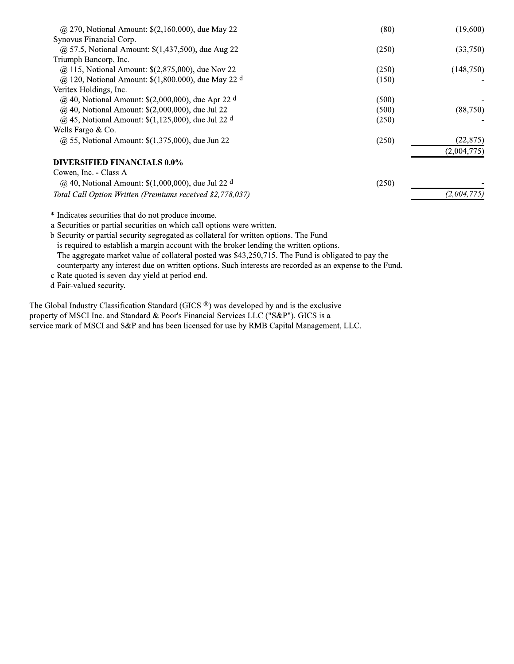| @ 270, Notional Amount: $$(2,160,000)$ , due May 22             | (80)  | (19,600)    |
|-----------------------------------------------------------------|-------|-------------|
| Synovus Financial Corp.                                         |       |             |
| @ 57.5, Notional Amount: $$(1,437,500)$ , due Aug 22            | (250) | (33,750)    |
| Triumph Bancorp, Inc.                                           |       |             |
| @ 115, Notional Amount: \$(2,875,000), due Nov 22               | (250) | (148,750)   |
| @ 120, Notional Amount: $$(1,800,000)$ , due May 22 d           | (150) |             |
| Veritex Holdings, Inc.                                          |       |             |
| @ 40, Notional Amount: $$(2,000,000)$ , due Apr 22 <sup>d</sup> | (500) |             |
| $@$ 40, Notional Amount: \$(2,000,000), due Jul 22              | (500) | (88,750)    |
| @ 45, Notional Amount: $\$(1,125,000)$ , due Jul 22 d           | (250) |             |
| Wells Fargo $& Co.$                                             |       |             |
| $\omega$ 55, Notional Amount: \$(1,375,000), due Jun 22         | (250) | (22, 875)   |
|                                                                 |       | (2,004,775) |
| DIVERSIFIED FINANCIALS 0.0%                                     |       |             |
| Cowen, Inc. - Class A                                           |       |             |
| @ 40, Notional Amount: $$(1,000,000)$ , due Jul 22 <sup>d</sup> | (250) |             |
| Total Call Option Written (Premiums received \$2,778,037)       |       | (2,004,775) |
|                                                                 |       |             |

\* Indicates securities that do not produce income.

a Securities or partial securities on which call options were written.

b Security or partial security segregated as collateral for written options. The Fund is required to establish a margin account with the broker lending the written options. The aggregate market value of collateral posted was \$43,250,715. The Fund is obligated to pay the counterparty any interest due on written options. Such interests are recorded as an expense to the Fund.

c Rate quoted is seven-day yield at period end.

d Fair-valued security.

The Global Industry Classification Standard (GICS ®) was developed by and is the exclusive property of MSCI Inc. and Standard & Poor's Financial Services LLC ("S&P"). GICS is a service mark of MSCI and S&P and has been licensed for use by RMB Capital Management, LLC.